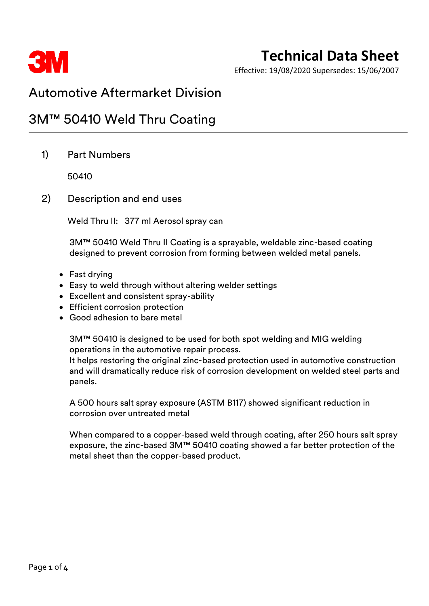

# **Technical Data Sheet**

Effective: 19/08/2020 Supersedes: 15/06/2007

## Automotive Aftermarket Division

## 3M™ 50410 Weld Thru Coating

1) Part Numbers

50410

2) Description and end uses

Weld Thru II: 377 ml Aerosol spray can

3M™ 50410 Weld Thru II Coating is a sprayable, weldable zinc-based coating designed to prevent corrosion from forming between welded metal panels.

- Fast drying
- Easy to weld through without altering welder settings
- Excellent and consistent spray-ability
- Efficient corrosion protection
- Good adhesion to bare metal

3M™ 50410 is designed to be used for both spot welding and MIG welding operations in the automotive repair process.

It helps restoring the original zinc-based protection used in automotive construction and will dramatically reduce risk of corrosion development on welded steel parts and panels.

A 500 hours salt spray exposure (ASTM B117) showed significant reduction in corrosion over untreated metal

When compared to a copper-based weld through coating, after 250 hours salt spray exposure, the zinc-based 3M™ 50410 coating showed a far better protection of the metal sheet than the copper-based product.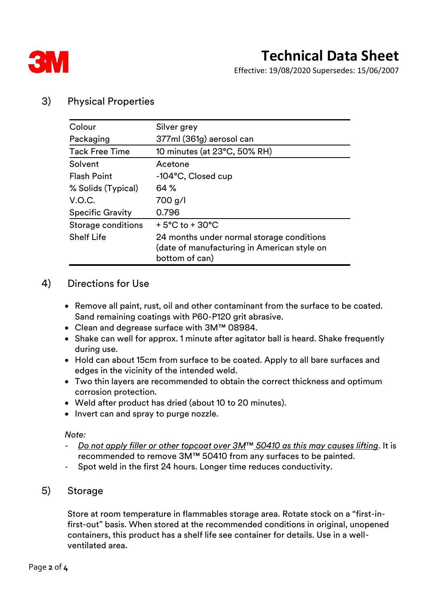

Effective: 19/08/2020 Supersedes: 15/06/2007

### 3) Physical Properties

| Colour                  | Silver grey                                                                                                |  |  |
|-------------------------|------------------------------------------------------------------------------------------------------------|--|--|
| Packaging               | 377ml (361g) aerosol can                                                                                   |  |  |
| <b>Tack Free Time</b>   | 10 minutes (at 23°C, 50% RH)                                                                               |  |  |
| Solvent                 | Acetone                                                                                                    |  |  |
| <b>Flash Point</b>      | -104°C, Closed cup                                                                                         |  |  |
| % Solids (Typical)      | 64 %                                                                                                       |  |  |
| V.O.C.                  | 700 g/l                                                                                                    |  |  |
| <b>Specific Gravity</b> | 0.796                                                                                                      |  |  |
| Storage conditions      | $+5^{\circ}$ C to $+30^{\circ}$ C                                                                          |  |  |
| <b>Shelf Life</b>       | 24 months under normal storage conditions<br>(date of manufacturing in American style on<br>bottom of can) |  |  |

#### 4) Directions for Use

- Remove all paint, rust, oil and other contaminant from the surface to be coated. Sand remaining coatings with P60-P120 grit abrasive.
- Clean and degrease surface with 3M™ 08984.
- Shake can well for approx. 1 minute after agitator ball is heard. Shake frequently during use.
- Hold can about 15cm from surface to be coated. Apply to all bare surfaces and edges in the vicinity of the intended weld.
- Two thin layers are recommended to obtain the correct thickness and optimum corrosion protection.
- Weld after product has dried (about 10 to 20 minutes).
- Invert can and spray to purge nozzle.

*Note:*

- *Do not apply filler or other topcoat over 3M*™ *50410 as this may causes lifting*. It is recommended to remove 3M™ 50410 from any surfaces to be painted.
- Spot weld in the first 24 hours. Longer time reduces conductivity.
- 5) Storage

Store at room temperature in flammables storage area. Rotate stock on a "first-infirst-out" basis. When stored at the recommended conditions in original, unopened containers, this product has a shelf life see container for details. Use in a wellventilated area.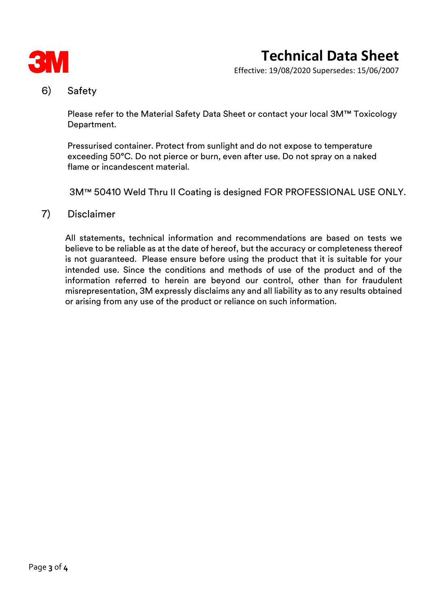

# **Technical Data Sheet**

Effective: 19/08/2020 Supersedes: 15/06/2007

#### 6) Safety

Please refer to the Material Safety Data Sheet or contact your local 3M™ Toxicology Department.

Pressurised container. Protect from sunlight and do not expose to temperature exceeding 50°C. Do not pierce or burn, even after use. Do not spray on a naked flame or incandescent material.

3M™ 50410 Weld Thru II Coating is designed FOR PROFESSIONAL USE ONLY.

#### 7) Disclaimer

All statements, technical information and recommendations are based on tests we believe to be reliable as at the date of hereof, but the accuracy or completeness thereof is not guaranteed. Please ensure before using the product that it is suitable for your intended use. Since the conditions and methods of use of the product and of the information referred to herein are beyond our control, other than for fraudulent misrepresentation, 3M expressly disclaims any and all liability as to any results obtained or arising from any use of the product or reliance on such information.